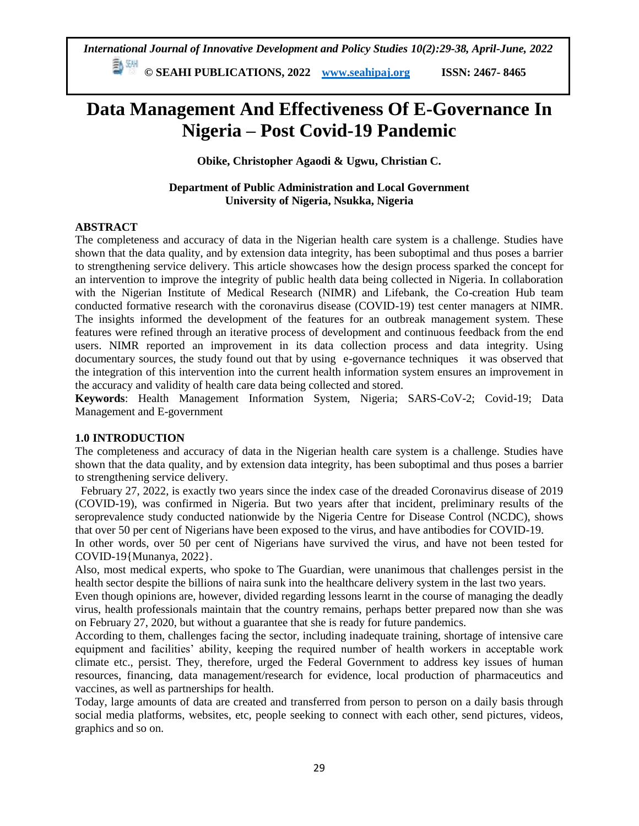**Data Management And Effectiveness Of E-Governance In Nigeria – Post Covid-19 Pandemic**

**Obike, Christopher Agaodi & Ugwu, Christian C.**

**Department of Public Administration and Local Government University of Nigeria, Nsukka, Nigeria**

#### **ABSTRACT**

The completeness and accuracy of data in the Nigerian health care system is a challenge. Studies have shown that the data quality, and by extension data integrity, has been suboptimal and thus poses a barrier to strengthening service delivery. This article showcases how the design process sparked the concept for an intervention to improve the integrity of public health data being collected in Nigeria. In collaboration with the Nigerian Institute of Medical Research (NIMR) and Lifebank, the Co-creation Hub team conducted formative research with the coronavirus disease (COVID-19) test center managers at NIMR. The insights informed the development of the features for an outbreak management system. These features were refined through an iterative process of development and continuous feedback from the end users. NIMR reported an improvement in its data collection process and data integrity. Using documentary sources, the study found out that by using e-governance techniques it was observed that the integration of this intervention into the current health information system ensures an improvement in the accuracy and validity of health care data being collected and stored.

**Keywords**: Health Management Information System, Nigeria; SARS-CoV-2; Covid-19; Data Management and E-government

#### **1.0 INTRODUCTION**

The completeness and accuracy of data in the Nigerian health care system is a challenge. Studies have shown that the data quality, and by extension data integrity, has been suboptimal and thus poses a barrier to strengthening service delivery.

February 27, 2022, is exactly two years since the index case of the dreaded Coronavirus disease of 2019 (COVID-19), was confirmed in Nigeria. But two years after that incident, preliminary results of the seroprevalence study conducted nationwide by the Nigeria Centre for Disease Control (NCDC), shows that over 50 per cent of Nigerians have been exposed to the virus, and have antibodies for COVID-19.

In other words, over 50 per cent of Nigerians have survived the virus, and have not been tested for COVID-19{Munanya, 2022}.

Also, most medical experts, who spoke to The Guardian, were unanimous that challenges persist in the health sector despite the billions of naira sunk into the healthcare delivery system in the last two years.

Even though opinions are, however, divided regarding lessons learnt in the course of managing the deadly virus, health professionals maintain that the country remains, perhaps better prepared now than she was on February 27, 2020, but without a guarantee that she is ready for future pandemics.

According to them, challenges facing the sector, including inadequate training, shortage of intensive care equipment and facilities' ability, keeping the required number of health workers in acceptable work climate etc., persist. They, therefore, urged the Federal Government to address key issues of human resources, financing, data management/research for evidence, local production of pharmaceutics and vaccines, as well as partnerships for health.

Today, large amounts of data are created and transferred from person to person on a daily basis through social media platforms, websites, etc, people seeking to connect with each other, send pictures, videos, graphics and so on.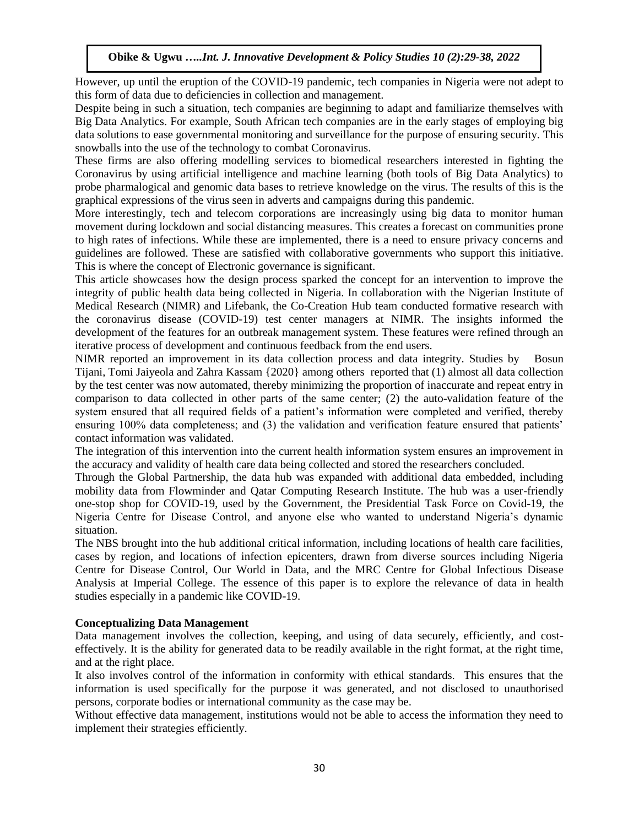However, up until the eruption of the COVID-19 pandemic, tech companies in Nigeria were not adept to this form of data due to deficiencies in collection and management.

Despite being in such a situation, tech companies are beginning to adapt and familiarize themselves with Big Data Analytics. For example, South African tech companies are in the early stages of employing big data solutions to ease governmental monitoring and surveillance for the purpose of ensuring security. This snowballs into the use of the technology to combat Coronavirus.

These firms are also offering modelling services to biomedical researchers interested in fighting the Coronavirus by using artificial intelligence and machine learning (both tools of Big Data Analytics) to probe pharmalogical and genomic data bases to retrieve knowledge on the virus. The results of this is the graphical expressions of the virus seen in adverts and campaigns during this pandemic.

More interestingly, tech and telecom corporations are increasingly using big data to monitor human movement during lockdown and social distancing measures. This creates a forecast on communities prone to high rates of infections. While these are implemented, there is a need to ensure privacy concerns and guidelines are followed. These are satisfied with collaborative governments who support this initiative. This is where the concept of Electronic governance is significant.

This article showcases how the design process sparked the concept for an intervention to improve the integrity of public health data being collected in Nigeria. In collaboration with the Nigerian Institute of Medical Research (NIMR) and Lifebank, the Co-Creation Hub team conducted formative research with the coronavirus disease (COVID-19) test center managers at NIMR. The insights informed the development of the features for an outbreak management system. These features were refined through an iterative process of development and continuous feedback from the end users.

NIMR reported an improvement in its data collection process and data integrity. Studies by Bosun Tijani, Tomi Jaiyeola and Zahra Kassam {2020} among others reported that (1) almost all data collection by the test center was now automated, thereby minimizing the proportion of inaccurate and repeat entry in comparison to data collected in other parts of the same center; (2) the auto-validation feature of the system ensured that all required fields of a patient's information were completed and verified, thereby ensuring 100% data completeness; and (3) the validation and verification feature ensured that patients' contact information was validated.

The integration of this intervention into the current health information system ensures an improvement in the accuracy and validity of health care data being collected and stored the researchers concluded.

Through the Global Partnership, the data hub was expanded with additional data embedded, including mobility data from Flowminder and Qatar Computing Research Institute. The hub was a user-friendly one-stop shop for COVID-19, used by the Government, the Presidential Task Force on Covid-19, the Nigeria Centre for Disease Control, and anyone else who wanted to understand Nigeria's dynamic situation.

The NBS brought into the hub additional critical information, including locations of health care facilities, cases by region, and locations of infection epicenters, drawn from diverse sources including Nigeria Centre for Disease Control, Our World in Data, and the MRC Centre for Global Infectious Disease Analysis at Imperial College. The essence of this paper is to explore the relevance of data in health studies especially in a pandemic like COVID-19.

#### **Conceptualizing Data Management**

Data management involves the collection, keeping, and using of data securely, efficiently, and costeffectively. It is the ability for generated data to be readily available in the right format, at the right time, and at the right place.

It also involves control of the information in conformity with ethical standards. This ensures that the information is used specifically for the purpose it was generated, and not disclosed to unauthorised persons, corporate bodies or international community as the case may be.

Without effective data management, institutions would not be able to access the information they need to implement their strategies efficiently.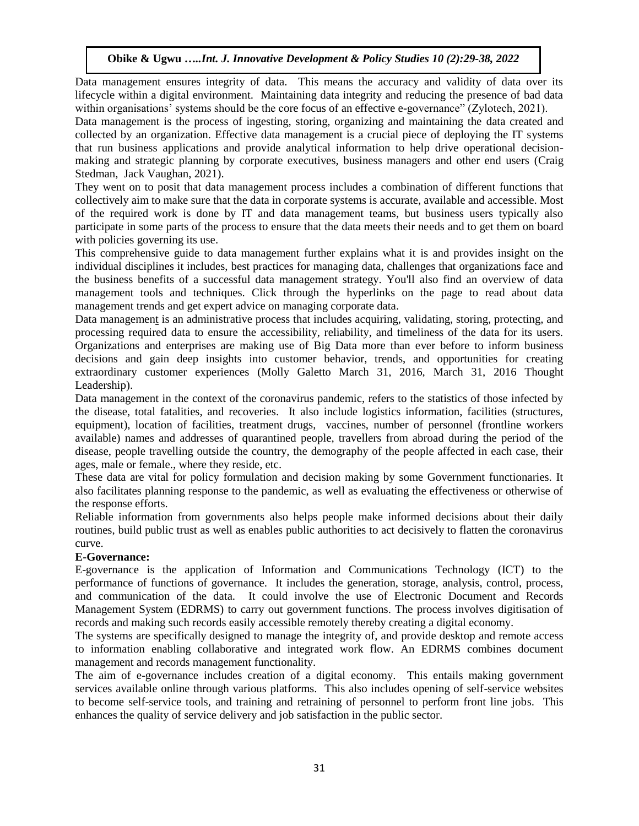Data management ensures integrity of data. This means the accuracy and validity of data over its lifecycle within a digital environment. Maintaining data integrity and reducing the presence of bad data within organisations' systems should be the core focus of an effective e-governance" (Zylotech, 2021).

Data management is the process of ingesting, storing, organizing and maintaining the data created and collected by an organization. Effective data management is a crucial piece of deploying the IT systems that run business applications and provide analytical information to help drive operational decisionmaking and strategic planning by corporate executives, business managers and other end users [\(Craig](https://www.techtarget.com/contributor/Craig-Stedman)  [Stedman,](https://www.techtarget.com/contributor/Craig-Stedman) [Jack Vaughan,](https://www.techtarget.com/contributor/Jack-Vaughan) 2021).

They went on to posit that data management process includes a combination of different functions that collectively aim to make sure that the data in corporate systems is accurate, available and accessible. Most of the required work is done by IT and data management teams, but business users typically also participate in some parts of the process to ensure that the data meets their needs and to get them on board with [policies governing its use.](https://www.techtarget.com/searchdatamanagement/feature/Breaking-down-data-silos-with-strong-data-governance)

This comprehensive guide to data management further explains what it is and provides insight on the individual disciplines it includes, best practices for managing data, challenges that organizations face and the business benefits of a successful data management strategy. You'll also find an overview of data management tools and techniques. Click through the hyperlinks on the page to read about data management trends and get expert advice on managing corporate data.

[Data management](http://www.businessdictionary.com/definition/data-management.html) is an administrative process that includes acquiring, validating, storing, protecting, and processing required data to ensure the accessibility, reliability, and timeliness of the data for its users. Organizations and enterprises are making use of Big Data more than ever before to inform business decisions and gain deep insights into customer behavior, trends, and opportunities for creating extraordinary customer experiences (Molly Galetto March 31, 2016, March 31, 2016 Thought Leadership).

Data management in the context of the coronavirus pandemic, refers to the statistics of those infected by the disease, total fatalities, and recoveries. It also include logistics information, facilities (structures, equipment), location of facilities, treatment drugs, vaccines, number of personnel (frontline workers available) names and addresses of quarantined people, travellers from abroad during the period of the disease, people travelling outside the country, the demography of the people affected in each case, their ages, male or female., where they reside, etc.

These data are vital for policy formulation and decision making by some Government functionaries. It also facilitates planning response to the pandemic, as well as evaluating the effectiveness or otherwise of the response efforts.

Reliable information from governments also helps people make informed decisions about their daily routines, build public trust as well as enables public authorities to act decisively to flatten the coronavirus curve.

# **E-Governance:**

E-governance is the application of Information and Communications Technology (ICT) to the performance of functions of governance. It includes the generation, storage, analysis, control, process, and communication of the data. It could involve the use of Electronic Document and Records Management System (EDRMS) to carry out government functions. The process involves digitisation of records and making such records easily accessible remotely thereby creating a digital economy.

The systems are specifically designed to manage the integrity of, and provide desktop and remote access to information enabling collaborative and integrated work flow. An EDRMS combines document management and records management functionality.

The aim of e-governance includes creation of a digital economy. This entails making government services available online through various platforms. This also includes opening of self-service websites to become self-service tools, and training and retraining of personnel to perform front line jobs. This enhances the quality of service delivery and job satisfaction in the public sector.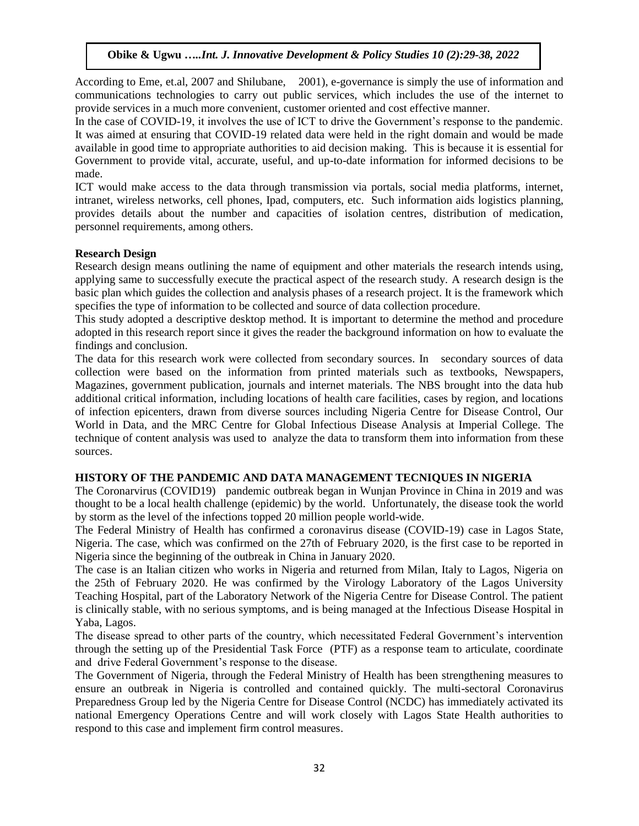According to Eme, et.al, 2007 and Shilubane, 2001), e-governance is simply the use of information and communications technologies to carry out public services, which includes the use of the internet to provide services in a much more convenient, customer oriented and cost effective manner.

In the case of COVID-19, it involves the use of ICT to drive the Government's response to the pandemic. It was aimed at ensuring that COVID-19 related data were held in the right domain and would be made available in good time to appropriate authorities to aid decision making. This is because it is essential for Government to provide vital, accurate, useful, and up-to-date information for informed decisions to be made.

ICT would make access to the data through transmission via portals, social media platforms, internet, intranet, wireless networks, cell phones, Ipad, computers, etc. Such information aids logistics planning, provides details about the number and capacities of isolation centres, distribution of medication, personnel requirements, among others.

### **Research Design**

Research design means outlining the name of equipment and other materials the research intends using, applying same to successfully execute the practical aspect of the research study. A research design is the basic plan which guides the collection and analysis phases of a research project. It is the framework which specifies the type of information to be collected and source of data collection procedure.

This study adopted a descriptive desktop method. It is important to determine the method and procedure adopted in this research report since it gives the reader the background information on how to evaluate the findings and conclusion.

The data for this research work were collected from secondary sources. In secondary sources of data collection were based on the information from printed materials such as textbooks, Newspapers, Magazines, government publication, journals and internet materials. The NBS brought into the data hub additional critical information, including locations of health care facilities, cases by region, and locations of infection epicenters, drawn from diverse sources including Nigeria Centre for Disease Control, Our World in Data, and the MRC Centre for Global Infectious Disease Analysis at Imperial College. The technique of content analysis was used to analyze the data to transform them into information from these sources.

# **HISTORY OF THE PANDEMIC AND DATA MANAGEMENT TECNIQUES IN NIGERIA**

The Coronarvirus (COVID19) pandemic outbreak began in Wunjan Province in China in 2019 and was thought to be a local health challenge (epidemic) by the world. Unfortunately, the disease took the world by storm as the level of the infections topped 20 million people world-wide.

The Federal Ministry of Health has confirmed a coronavirus disease (COVID-19) case in Lagos State, Nigeria. The case, which was confirmed on the 27th of February 2020, is the first case to be reported in Nigeria since the beginning of the outbreak in China in January 2020.

The case is an Italian citizen who works in Nigeria and returned from Milan, Italy to Lagos, Nigeria on the 25th of February 2020. He was confirmed by the Virology Laboratory of the Lagos University Teaching Hospital, part of the Laboratory Network of the Nigeria Centre for Disease Control. The patient is clinically stable, with no serious symptoms, and is being managed at the Infectious Disease Hospital in Yaba, Lagos.

The disease spread to other parts of the country, which necessitated Federal Government's intervention through the setting up of the Presidential Task Force (PTF) as a response team to articulate, coordinate and drive Federal Government's response to the disease.

The Government of Nigeria, through the Federal Ministry of Health has been strengthening measures to ensure an outbreak in Nigeria is controlled and contained quickly. The multi-sectoral Coronavirus Preparedness Group led by the Nigeria Centre for Disease Control (NCDC) has immediately activated its national Emergency Operations Centre and will work closely with Lagos State Health authorities to respond to this case and implement firm control measures.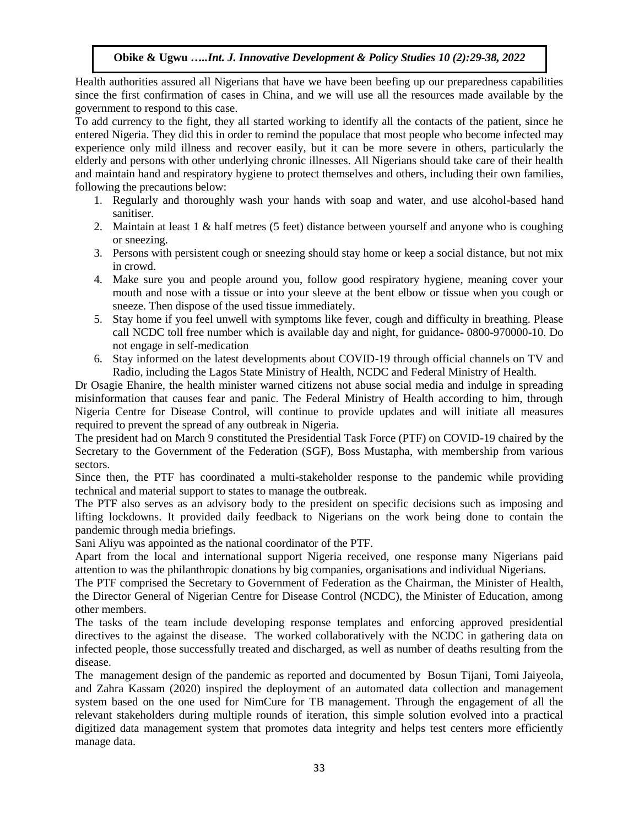Health authorities assured all Nigerians that have we have been beefing up our preparedness capabilities since the first confirmation of cases in China, and we will use all the resources made available by the government to respond to this case.

To add currency to the fight, they all started working to identify all the contacts of the patient, since he entered Nigeria. They did this in order to remind the populace that most people who become infected may experience only mild illness and recover easily, but it can be more severe in others, particularly the elderly and persons with other underlying chronic illnesses. All Nigerians should take care of their health and maintain hand and respiratory hygiene to protect themselves and others, including their own families, following the precautions below:

- 1. Regularly and thoroughly wash your hands with soap and water, and use alcohol-based hand sanitiser.
- 2. Maintain at least 1 & half metres (5 feet) distance between yourself and anyone who is coughing or sneezing.
- 3. Persons with persistent cough or sneezing should stay home or keep a social distance, but not mix in crowd.
- 4. Make sure you and people around you, follow good respiratory hygiene, meaning cover your mouth and nose with a tissue or into your sleeve at the bent elbow or tissue when you cough or sneeze. Then dispose of the used tissue immediately.
- 5. Stay home if you feel unwell with symptoms like fever, cough and difficulty in breathing. Please call NCDC toll free number which is available day and night, for guidance- 0800-970000-10. Do not engage in self-medication
- 6. Stay informed on the latest developments about COVID-19 through official channels on TV and Radio, including the Lagos State Ministry of Health, NCDC and Federal Ministry of Health.

Dr Osagie Ehanire, the health minister warned citizens not abuse social media and indulge in spreading misinformation that causes fear and panic. The Federal Ministry of Health according to him, through Nigeria Centre for Disease Control, will continue to provide updates and will initiate all measures required to prevent the spread of any outbreak in Nigeria.

The president had on March 9 constituted the Presidential Task Force (PTF) on COVID-19 chaired by the Secretary to the Government of the Federation (SGF), Boss Mustapha, with membership from various sectors.

Since then, the PTF has coordinated a multi-stakeholder response to the pandemic while providing technical and material support to states to manage the outbreak.

The PTF also serves as an advisory body to the president on specific decisions such as imposing and lifting lockdowns. It provided daily feedback to Nigerians on the work being done to contain the pandemic through media briefings.

Sani Aliyu was appointed as the national coordinator of the PTF.

Apart from the local and international support Nigeria received, one response many Nigerians paid attention to was the philanthropic donations by big companies, organisations and individual Nigerians.

The PTF comprised the Secretary to Government of Federation as the Chairman, the Minister of Health, the Director General of Nigerian Centre for Disease Control (NCDC), the Minister of Education, among other members.

The tasks of the team include developing response templates and enforcing approved presidential directives to the against the disease. The worked collaboratively with the NCDC in gathering data on infected people, those successfully treated and discharged, as well as number of deaths resulting from the disease.

The management design of the pandemic as reported and documented by Bosun Tijani, Tomi Jaiyeola, and Zahra Kassam (2020) inspired the deployment of an automated data collection and management system based on the one used for NimCure for TB management. Through the engagement of all the relevant stakeholders during multiple rounds of iteration, this simple solution evolved into a practical digitized data management system that promotes data integrity and helps test centers more efficiently manage data.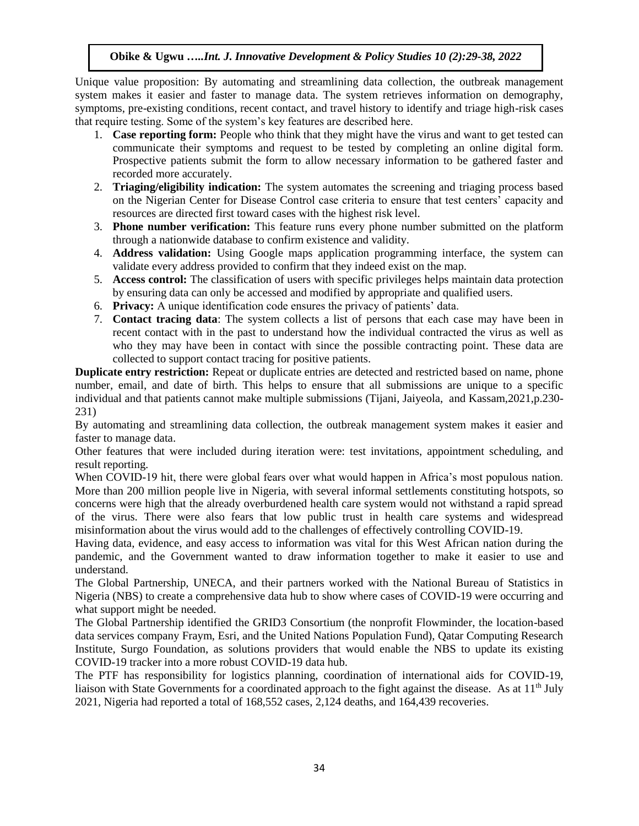Unique value proposition: By automating and streamlining data collection, the outbreak management system makes it easier and faster to manage data. The system retrieves information on demography, symptoms, pre-existing conditions, recent contact, and travel history to identify and triage high-risk cases that require testing. Some of the system's key features are described here.

- 1. **Case reporting form:** People who think that they might have the virus and want to get tested can communicate their symptoms and request to be tested by completing an online digital form. Prospective patients submit the form to allow necessary information to be gathered faster and recorded more accurately.
- 2. **Triaging/eligibility indication:** The system automates the screening and triaging process based on the Nigerian Center for Disease Control case criteria to ensure that test centers' capacity and resources are directed first toward cases with the highest risk level.
- 3. **Phone number verification:** This feature runs every phone number submitted on the platform through a nationwide database to confirm existence and validity.
- 4. **Address validation:** Using Google maps application programming interface, the system can validate every address provided to confirm that they indeed exist on the map.
- 5. **Access control:** The classification of users with specific privileges helps maintain data protection by ensuring data can only be accessed and modified by appropriate and qualified users.
- 6. **Privacy:** A unique identification code ensures the privacy of patients' data.
- 7. **Contact tracing data**: The system collects a list of persons that each case may have been in recent contact with in the past to understand how the individual contracted the virus as well as who they may have been in contact with since the possible contracting point. These data are collected to support contact tracing for positive patients.

**Duplicate entry restriction:** Repeat or duplicate entries are detected and restricted based on name, phone number, email, and date of birth. This helps to ensure that all submissions are unique to a specific individual and that patients cannot make multiple submissions (Tijani, Jaiyeola, and Kassam,2021,p.230- 231)

By automating and streamlining data collection, the outbreak management system makes it easier and faster to manage data.

Other features that were included during iteration were: test invitations, appointment scheduling, and result reporting.

When COVID-19 hit, there were global fears over what would happen in Africa's most populous nation. More than 200 million people live in Nigeria, with several informal settlements constituting hotspots, so concerns were high that the already overburdened health care system would not withstand a rapid spread of the virus. There were also fears that low public trust in health care systems and widespread misinformation about the virus would add to the challenges of effectively controlling COVID-19.

Having data, evidence, and easy access to information was vital for this West African nation during the pandemic, and the Government wanted to draw information together to make it easier to use and understand.

The Global Partnership, UNECA, and their partners worked with the National Bureau of Statistics in Nigeria (NBS) to create a comprehensive data hub to show where cases of COVID-19 were occurring and what support might be needed.

The Global Partnership identified the GRID3 Consortium (the nonprofit Flowminder, the location-based data services company Fraym, Esri, and the United Nations Population Fund), Qatar Computing Research Institute, Surgo Foundation, as solutions providers that would enable the NBS to update its existing COVID-19 tracker into a more robust COVID-19 data hub.

The PTF has responsibility for logistics planning, coordination of international aids for COVID-19, liaison with State Governments for a coordinated approach to the fight against the disease. As at 11<sup>th</sup> July 2021, Nigeria had reported a total of 168,552 cases, 2,124 deaths, and 164,439 recoveries.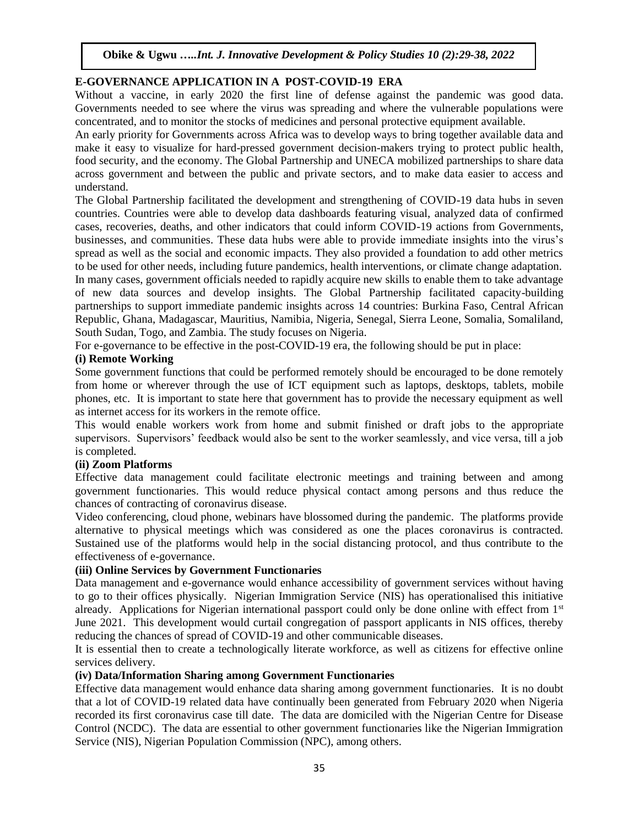## **E-GOVERNANCE APPLICATION IN A POST-COVID-19 ERA**

Without a vaccine, in early 2020 the first line of defense against the pandemic was good data. Governments needed to see where the virus was spreading and where the vulnerable populations were concentrated, and to monitor the stocks of medicines and personal protective equipment available.

An early priority for Governments across Africa was to develop ways to bring together available data and make it easy to visualize for hard-pressed government decision-makers trying to protect public health, food security, and the economy. The Global Partnership and UNECA mobilized partnerships to share data across government and between the public and private sectors, and to make data easier to access and understand.

The Global Partnership facilitated the development and strengthening of COVID-19 data hubs in seven countries. Countries were able to develop data dashboards featuring visual, analyzed data of confirmed cases, recoveries, deaths, and other indicators that could inform COVID-19 actions from Governments, businesses, and communities. These data hubs were able to provide immediate insights into the virus's spread as well as the social and economic impacts. They also provided a foundation to add other metrics to be used for other needs, including future pandemics, health interventions, or climate change adaptation. In many cases, government officials needed to rapidly acquire new skills to enable them to take advantage of new data sources and develop insights. The Global Partnership facilitated capacity-building partnerships to support immediate pandemic insights across 14 countries: Burkina Faso, Central African Republic, Ghana, Madagascar, Mauritius, Namibia, Nigeria, Senegal, Sierra Leone, Somalia, Somaliland, South Sudan, Togo, and Zambia. The study focuses on Nigeria.

For e-governance to be effective in the post-COVID-19 era, the following should be put in place:

#### **(i) Remote Working**

Some government functions that could be performed remotely should be encouraged to be done remotely from home or wherever through the use of ICT equipment such as laptops, desktops, tablets, mobile phones, etc. It is important to state here that government has to provide the necessary equipment as well as internet access for its workers in the remote office.

This would enable workers work from home and submit finished or draft jobs to the appropriate supervisors. Supervisors' feedback would also be sent to the worker seamlessly, and vice versa, till a job is completed.

#### **(ii) Zoom Platforms**

Effective data management could facilitate electronic meetings and training between and among government functionaries. This would reduce physical contact among persons and thus reduce the chances of contracting of coronavirus disease.

Video conferencing, cloud phone, webinars have blossomed during the pandemic. The platforms provide alternative to physical meetings which was considered as one the places coronavirus is contracted. Sustained use of the platforms would help in the social distancing protocol, and thus contribute to the effectiveness of e-governance.

#### **(iii) Online Services by Government Functionaries**

Data management and e-governance would enhance accessibility of government services without having to go to their offices physically. Nigerian Immigration Service (NIS) has operationalised this initiative already. Applications for Nigerian international passport could only be done online with effect from  $1<sup>st</sup>$ June 2021. This development would curtail congregation of passport applicants in NIS offices, thereby reducing the chances of spread of COVID-19 and other communicable diseases.

It is essential then to create a technologically literate workforce, as well as citizens for effective online services delivery.

#### **(iv) Data/Information Sharing among Government Functionaries**

Effective data management would enhance data sharing among government functionaries. It is no doubt that a lot of COVID-19 related data have continually been generated from February 2020 when Nigeria recorded its first coronavirus case till date. The data are domiciled with the Nigerian Centre for Disease Control (NCDC). The data are essential to other government functionaries like the Nigerian Immigration Service (NIS), Nigerian Population Commission (NPC), among others.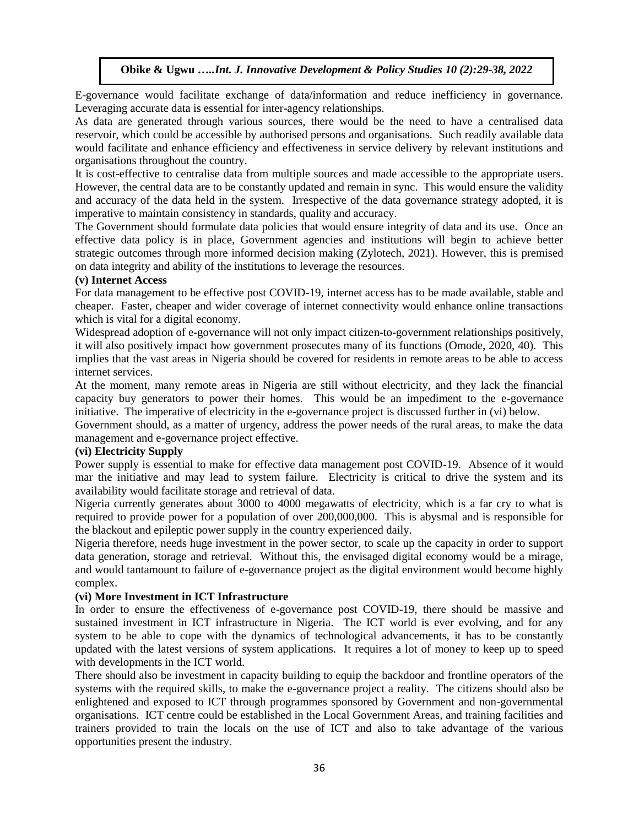E-governance would facilitate exchange of data/information and reduce inefficiency in governance. Leveraging accurate data is essential for inter-agency relationships.

As data are generated through various sources, there would be the need to have a centralised data reservoir, which could be accessible by authorised persons and organisations. Such readily available data would facilitate and enhance efficiency and effectiveness in service delivery by relevant institutions and organisations throughout the country.

It is cost-effective to centralise data from multiple sources and made accessible to the appropriate users. However, the central data are to be constantly updated and remain in sync. This would ensure the validity and accuracy of the data held in the system. Irrespective of the data governance strategy adopted, it is imperative to maintain consistency in standards, quality and accuracy.

The Government should formulate data policies that would ensure integrity of data and its use. Once an effective data policy is in place, Government agencies and institutions will begin to achieve better strategic outcomes through more informed decision making (Zylotech, 2021). However, this is premised on data integrity and ability of the institutions to leverage the resources.

#### **(v) Internet Access**

For data management to be effective post COVID-19, internet access has to be made available, stable and cheaper. Faster, cheaper and wider coverage of internet connectivity would enhance online transactions which is vital for a digital economy.

Widespread adoption of e-governance will not only impact citizen-to-government relationships positively, it will also positively impact how government prosecutes many of its functions (Omode, 2020, 40). This implies that the vast areas in Nigeria should be covered for residents in remote areas to be able to access internet services.

At the moment, many remote areas in Nigeria are still without electricity, and they lack the financial capacity buy generators to power their homes. This would be an impediment to the e-governance initiative. The imperative of electricity in the e-governance project is discussed further in (vi) below.

Government should, as a matter of urgency, address the power needs of the rural areas, to make the data management and e-governance project effective.

### **(vi) Electricity Supply**

Power supply is essential to make for effective data management post COVID-19. Absence of it would mar the initiative and may lead to system failure. Electricity is critical to drive the system and its availability would facilitate storage and retrieval of data.

Nigeria currently generates about 3000 to 4000 megawatts of electricity, which is a far cry to what is required to provide power for a population of over 200,000,000. This is abysmal and is responsible for the blackout and epileptic power supply in the country experienced daily.

Nigeria therefore, needs huge investment in the power sector, to scale up the capacity in order to support data generation, storage and retrieval. Without this, the envisaged digital economy would be a mirage, and would tantamount to failure of e-governance project as the digital environment would become highly complex.

### **(vi) More Investment in ICT Infrastructure**

In order to ensure the effectiveness of e-governance post COVID-19, there should be massive and sustained investment in ICT infrastructure in Nigeria. The ICT world is ever evolving, and for any system to be able to cope with the dynamics of technological advancements, it has to be constantly updated with the latest versions of system applications. It requires a lot of money to keep up to speed with developments in the ICT world.

There should also be investment in capacity building to equip the backdoor and frontline operators of the systems with the required skills, to make the e-governance project a reality. The citizens should also be enlightened and exposed to ICT through programmes sponsored by Government and non-governmental organisations. ICT centre could be established in the Local Government Areas, and training facilities and trainers provided to train the locals on the use of ICT and also to take advantage of the various opportunities present the industry.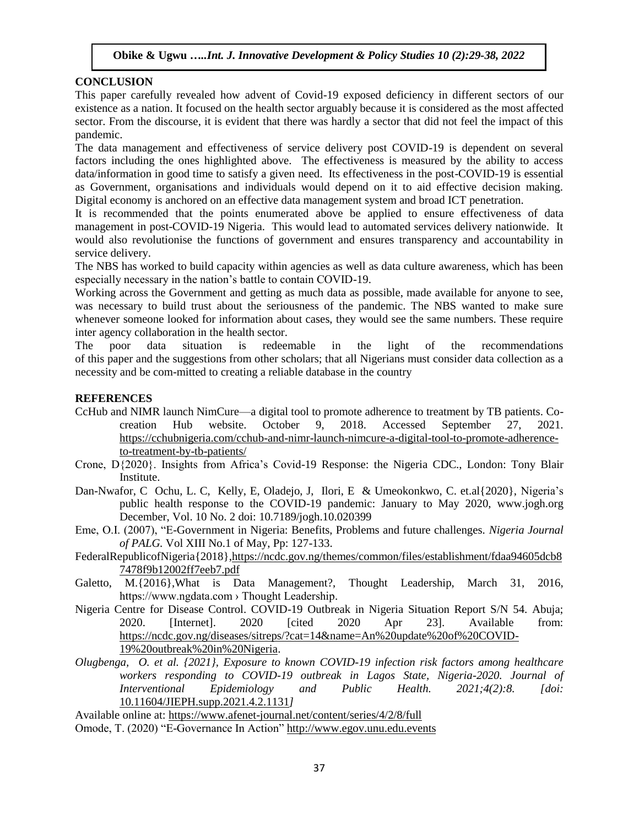### **CONCLUSION**

This paper carefully revealed how advent of Covid-19 exposed deficiency in different sectors of our existence as a nation. It focused on the health sector arguably because it is considered as the most affected sector. From the discourse, it is evident that there was hardly a sector that did not feel the impact of this pandemic.

The data management and effectiveness of service delivery post COVID-19 is dependent on several factors including the ones highlighted above. The effectiveness is measured by the ability to access data/information in good time to satisfy a given need. Its effectiveness in the post-COVID-19 is essential as Government, organisations and individuals would depend on it to aid effective decision making. Digital economy is anchored on an effective data management system and broad ICT penetration.

It is recommended that the points enumerated above be applied to ensure effectiveness of data management in post-COVID-19 Nigeria. This would lead to automated services delivery nationwide. It would also revolutionise the functions of government and ensures transparency and accountability in service delivery.

The NBS has worked to build capacity within agencies as well as data culture awareness, which has been especially necessary in the nation's battle to contain COVID-19.

Working across the Government and getting as much data as possible, made available for anyone to see, was necessary to build trust about the seriousness of the pandemic. The NBS wanted to make sure whenever someone looked for information about cases, they would see the same numbers. These require inter agency collaboration in the health sector.

The poor data situation is redeemable in the light of the recommendations of this paper and the suggestions from other scholars; that all Nigerians must consider data collection as a necessity and be com-mitted to creating a reliable database in the country

### **REFERENCES**

- CcHub and NIMR launch NimCure—a digital tool to promote adherence to treatment by TB patients. Cocreation Hub website. October 9, 2018. Accessed September 27, 2021. [https://cchubnigeria.com/cchub-and-nimr-launch-nimcure-a-digital-tool-to-promote-adherence](https://cchubnigeria.com/cchub-and-nimr-launch-nimcure-a-digital-tool-to-promote-adherence-to-treatment-by-tb-patients/)[to-treatment-by-tb-patients/](https://cchubnigeria.com/cchub-and-nimr-launch-nimcure-a-digital-tool-to-promote-adherence-to-treatment-by-tb-patients/)
- Crone, D{2020}. Insights from Africa's Covid-19 Response: the Nigeria CDC., London: Tony Blair Institute.
- Dan-Nwafor, C Ochu, L. C, Kelly, E, Oladejo, J, Ilori, E & Umeokonkwo, C. et.al{2020}, Nigeria's public health response to the COVID-19 pandemic: January to May 2020, www.jogh.org December, Vol. 10 No. 2 doi: 10.7189/jogh.10.020399
- Eme, O.I. (2007), "E-Government in Nigeria: Benefits, Problems and future challenges. *Nigeria Journal of PALG.* Vol XIII No.1 of May, Pp: 127-133.
- FederalRepublicofNigeria{2018}[,https://ncdc.gov.ng/themes/common/files/establishment/fdaa94605dcb8](https://ncdc.gov.ng/themes/common/files/establishment/fdaa94605dcb87478f9b12002ff7eeb7.pdf) [7478f9b12002ff7eeb7.pdf](https://ncdc.gov.ng/themes/common/files/establishment/fdaa94605dcb87478f9b12002ff7eeb7.pdf)
- Galetto, M.{2016},What is Data Management?, Thought Leadership, March 31, 2016, https://www.ngdata.com › Thought Leadership.
- Nigeria Centre for Disease Control. COVID-19 Outbreak in Nigeria Situation Report S/N 54. Abuja; 2020. [Internet]. 2020 [cited 2020 Apr 23]. Available from: [https://ncdc.gov.ng/diseases/sitreps/?cat=14&name=An%20update%20of%20COVID-](https://ncdc.gov.ng/diseases/sitreps/?cat=14&name=An%20update%20of%20COVID-19%20outbreak%20in%20Nigeria)[19%20outbreak%20in%20Nigeria.](https://ncdc.gov.ng/diseases/sitreps/?cat=14&name=An%20update%20of%20COVID-19%20outbreak%20in%20Nigeria)
- *Olugbenga, O. et al. {2021}, Exposure to known COVID-19 infection risk factors among healthcare workers responding to COVID-19 outbreak in Lagos State, Nigeria-2020. Journal of Interventional Epidemiology and Public Health. 2021;4(2):8. [doi:*  [10.11604/JIEPH.supp.2021.4.2.1131](https://doi.org/10.11604/JIEPH.supp.2021.4.2.1131)*]*

Available online at: <https://www.afenet-journal.net/content/series/4/2/8/full>

Omode, T. (2020) "E-Governance In Action" [http://www.egov.unu.edu.events](http://www.egov.unu.edu.events/)